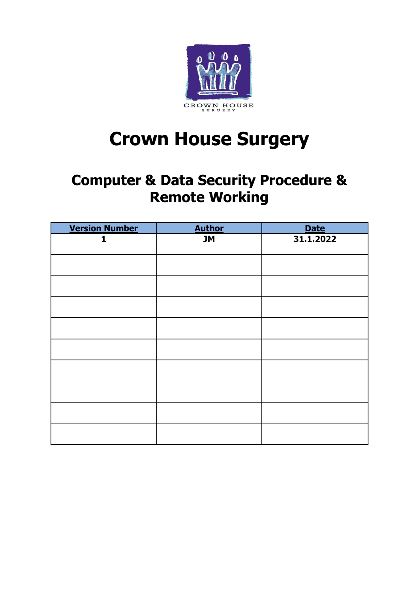

# **Crown House Surgery**

# **Computer & Data Security Procedure & Remote Working**

| <b>Version Number</b> | <b>Author</b> | <b>Date</b> |
|-----------------------|---------------|-------------|
| 1                     | <b>JM</b>     | 31.1.2022   |
|                       |               |             |
|                       |               |             |
|                       |               |             |
|                       |               |             |
|                       |               |             |
|                       |               |             |
|                       |               |             |
|                       |               |             |
|                       |               |             |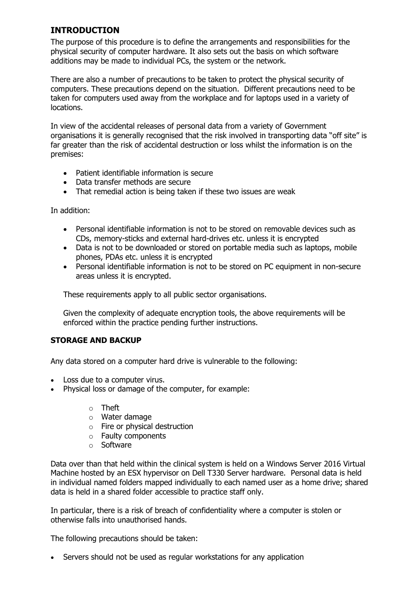#### **INTRODUCTION**

The purpose of this procedure is to define the arrangements and responsibilities for the physical security of computer hardware. It also sets out the basis on which software additions may be made to individual PCs, the system or the network.

There are also a number of precautions to be taken to protect the physical security of computers. These precautions depend on the situation. Different precautions need to be taken for computers used away from the workplace and for laptops used in a variety of locations.

In view of the accidental releases of personal data from a variety of Government organisations it is generally recognised that the risk involved in transporting data "off site" is far greater than the risk of accidental destruction or loss whilst the information is on the premises:

- Patient identifiable information is secure
- Data transfer methods are secure
- That remedial action is being taken if these two issues are weak

In addition:

- Personal identifiable information is not to be stored on removable devices such as CDs, memory-sticks and external hard-drives etc. unless it is encrypted
- Data is not to be downloaded or stored on portable media such as laptops, mobile phones, PDAs etc. unless it is encrypted
- Personal identifiable information is not to be stored on PC equipment in non-secure areas unless it is encrypted.

These requirements apply to all public sector organisations.

Given the complexity of adequate encryption tools, the above requirements will be enforced within the practice pending further instructions.

#### **STORAGE AND BACKUP**

Any data stored on a computer hard drive is vulnerable to the following:

- Loss due to a computer virus.
- Physical loss or damage of the computer, for example:
	- o Theft
	- o Water damage
	- o Fire or physical destruction
	- o Faulty components
	- o Software

Data over than that held within the clinical system is held on a Windows Server 2016 Virtual Machine hosted by an ESX hypervisor on Dell T330 Server hardware. Personal data is held in individual named folders mapped individually to each named user as a home drive; shared data is held in a shared folder accessible to practice staff only.

In particular, there is a risk of breach of confidentiality where a computer is stolen or otherwise falls into unauthorised hands.

The following precautions should be taken:

• Servers should not be used as regular workstations for any application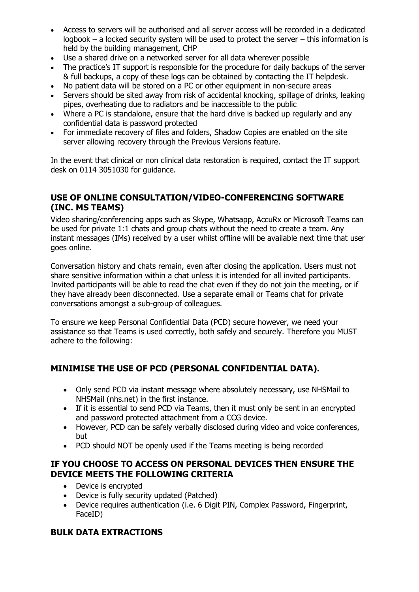- Access to servers will be authorised and all server access will be recorded in a dedicated logbook – a locked security system will be used to protect the server – this information is held by the building management, CHP
- Use a shared drive on a networked server for all data wherever possible
- The practice's IT support is responsible for the procedure for daily backups of the server & full backups, a copy of these logs can be obtained by contacting the IT helpdesk.
- No patient data will be stored on a PC or other equipment in non-secure areas
- Servers should be sited away from risk of accidental knocking, spillage of drinks, leaking pipes, overheating due to radiators and be inaccessible to the public
- Where a PC is standalone, ensure that the hard drive is backed up regularly and any confidential data is password protected
- For immediate recovery of files and folders, Shadow Copies are enabled on the site server allowing recovery through the Previous Versions feature.

In the event that clinical or non clinical data restoration is required, contact the IT support desk on 0114 3051030 for guidance.

# **USE OF ONLINE CONSULTATION/VIDEO-CONFERENCING SOFTWARE (INC. MS TEAMS)**

Video sharing/conferencing apps such as Skype, Whatsapp, AccuRx or Microsoft Teams can be used for private 1:1 chats and group chats without the need to create a team. Any instant messages (IMs) received by a user whilst offline will be available next time that user goes online.

Conversation history and chats remain, even after closing the application. Users must not share sensitive information within a chat unless it is intended for all invited participants. Invited participants will be able to read the chat even if they do not join the meeting, or if they have already been disconnected. Use a separate email or Teams chat for private conversations amongst a sub-group of colleagues.

To ensure we keep Personal Confidential Data (PCD) secure however, we need your assistance so that Teams is used correctly, both safely and securely. Therefore you MUST adhere to the following:

# **MINIMISE THE USE OF PCD (PERSONAL CONFIDENTIAL DATA).**

- Only send PCD via instant message where absolutely necessary, use NHSMail to NHSMail (nhs.net) in the first instance.
- If it is essential to send PCD via Teams, then it must only be sent in an encrypted and password protected attachment from a CCG device.
- However, PCD can be safely verbally disclosed during video and voice conferences, but
- PCD should NOT be openly used if the Teams meeting is being recorded

#### **IF YOU CHOOSE TO ACCESS ON PERSONAL DEVICES THEN ENSURE THE DEVICE MEETS THE FOLLOWING CRITERIA**

- Device is encrypted
- Device is fully security updated (Patched)
- Device requires authentication (i.e. 6 Digit PIN, Complex Password, Fingerprint, FaceID)

# **BULK DATA EXTRACTIONS**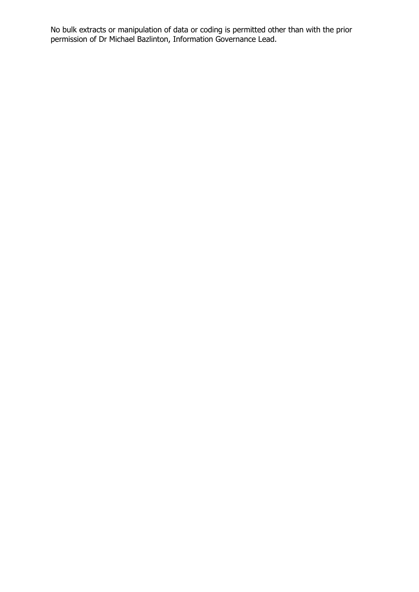No bulk extracts or manipulation of data or coding is permitted other than with the prior permission of Dr Michael Bazlinton, Information Governance Lead.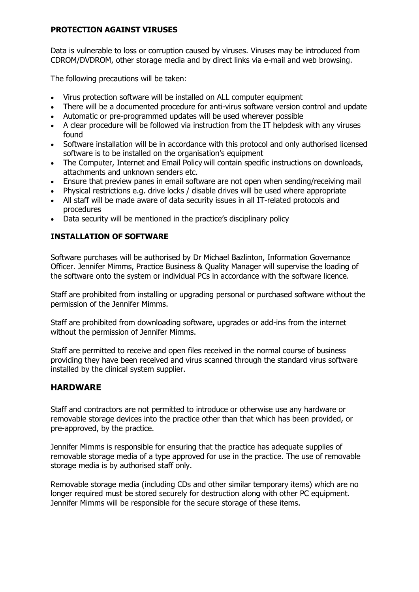#### **PROTECTION AGAINST VIRUSES**

Data is vulnerable to loss or corruption caused by viruses. Viruses may be introduced from CDROM/DVDROM, other storage media and by direct links via e-mail and web browsing.

The following precautions will be taken:

- Virus protection software will be installed on ALL computer equipment
- There will be a documented procedure for anti-virus software version control and update
- Automatic or pre-programmed updates will be used wherever possible
- A clear procedure will be followed via instruction from the IT helpdesk with any viruses found
- Software installation will be in accordance with this protocol and only authorised licensed software is to be installed on the organisation's equipment
- The Computer, Internet and Email Policy will contain specific instructions on downloads, attachments and unknown senders etc.
- Ensure that preview panes in email software are not open when sending/receiving mail
- Physical restrictions e.g. drive locks / disable drives will be used where appropriate
- All staff will be made aware of data security issues in all IT-related protocols and procedures
- Data security will be mentioned in the practice's disciplinary policy

#### **INSTALLATION OF SOFTWARE**

Software purchases will be authorised by Dr Michael Bazlinton, Information Governance Officer. Jennifer Mimms, Practice Business & Quality Manager will supervise the loading of the software onto the system or individual PCs in accordance with the software licence.

Staff are prohibited from installing or upgrading personal or purchased software without the permission of the Jennifer Mimms.

Staff are prohibited from downloading software, upgrades or add-ins from the internet without the permission of Jennifer Mimms.

Staff are permitted to receive and open files received in the normal course of business providing they have been received and virus scanned through the standard virus software installed by the clinical system supplier.

#### **HARDWARE**

Staff and contractors are not permitted to introduce or otherwise use any hardware or removable storage devices into the practice other than that which has been provided, or pre-approved, by the practice.

Jennifer Mimms is responsible for ensuring that the practice has adequate supplies of removable storage media of a type approved for use in the practice. The use of removable storage media is by authorised staff only.

Removable storage media (including CDs and other similar temporary items) which are no longer required must be stored securely for destruction along with other PC equipment. Jennifer Mimms will be responsible for the secure storage of these items.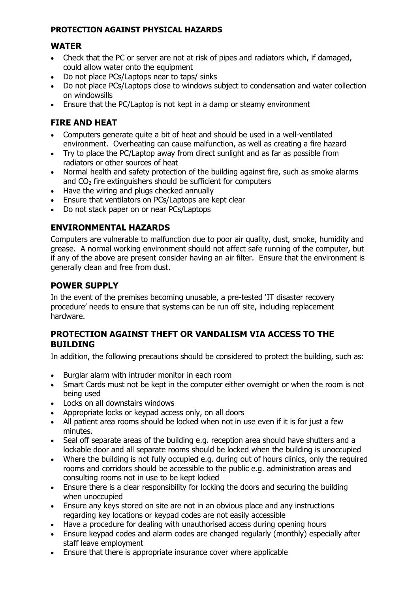#### **PROTECTION AGAINST PHYSICAL HAZARDS**

#### **WATER**

- Check that the PC or server are not at risk of pipes and radiators which, if damaged, could allow water onto the equipment
- Do not place PCs/Laptops near to taps/ sinks
- Do not place PCs/Laptops close to windows subject to condensation and water collection on windowsills
- Ensure that the PC/Laptop is not kept in a damp or steamy environment

# **FIRE AND HEAT**

- Computers generate quite a bit of heat and should be used in a well-ventilated environment. Overheating can cause malfunction, as well as creating a fire hazard
- Try to place the PC/Laptop away from direct sunlight and as far as possible from radiators or other sources of heat
- Normal health and safety protection of the building against fire, such as smoke alarms and  $CO<sub>2</sub>$  fire extinguishers should be sufficient for computers
- Have the wiring and plugs checked annually
- Ensure that ventilators on PCs/Laptops are kept clear
- Do not stack paper on or near PCs/Laptops

# **ENVIRONMENTAL HAZARDS**

Computers are vulnerable to malfunction due to poor air quality, dust, smoke, humidity and grease. A normal working environment should not affect safe running of the computer, but if any of the above are present consider having an air filter. Ensure that the environment is generally clean and free from dust.

#### **POWER SUPPLY**

In the event of the premises becoming unusable, a pre-tested 'IT disaster recovery procedure' needs to ensure that systems can be run off site, including replacement hardware.

#### **PROTECTION AGAINST THEFT OR VANDALISM VIA ACCESS TO THE BUILDING**

In addition, the following precautions should be considered to protect the building, such as:

- Burglar alarm with intruder monitor in each room
- Smart Cards must not be kept in the computer either overnight or when the room is not being used
- Locks on all downstairs windows
- Appropriate locks or keypad access only, on all doors
- All patient area rooms should be locked when not in use even if it is for just a few minutes.
- Seal off separate areas of the building e.g. reception area should have shutters and a lockable door and all separate rooms should be locked when the building is unoccupied
- Where the building is not fully occupied e.g. during out of hours clinics, only the required rooms and corridors should be accessible to the public e.g. administration areas and consulting rooms not in use to be kept locked
- Ensure there is a clear responsibility for locking the doors and securing the building when unoccupied
- Ensure any keys stored on site are not in an obvious place and any instructions regarding key locations or keypad codes are not easily accessible
- Have a procedure for dealing with unauthorised access during opening hours
- Ensure keypad codes and alarm codes are changed regularly (monthly) especially after staff leave employment
- Ensure that there is appropriate insurance cover where applicable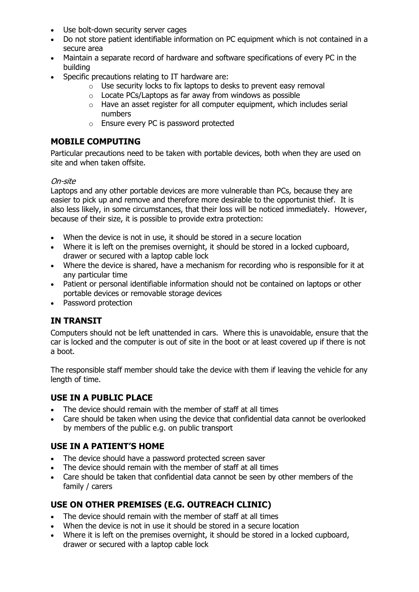- Use bolt-down security server cages
- Do not store patient identifiable information on PC equipment which is not contained in a secure area
- Maintain a separate record of hardware and software specifications of every PC in the building
- Specific precautions relating to IT hardware are:
	- o Use security locks to fix laptops to desks to prevent easy removal
	- o Locate PCs/Laptops as far away from windows as possible
	- $\circ$  Have an asset register for all computer equipment, which includes serial numbers
	- o Ensure every PC is password protected

#### **MOBILE COMPUTING**

Particular precautions need to be taken with portable devices, both when they are used on site and when taken offsite.

#### On-site

Laptops and any other portable devices are more vulnerable than PCs, because they are easier to pick up and remove and therefore more desirable to the opportunist thief. It is also less likely, in some circumstances, that their loss will be noticed immediately. However, because of their size, it is possible to provide extra protection:

- When the device is not in use, it should be stored in a secure location
- Where it is left on the premises overnight, it should be stored in a locked cupboard, drawer or secured with a laptop cable lock
- Where the device is shared, have a mechanism for recording who is responsible for it at any particular time
- Patient or personal identifiable information should not be contained on laptops or other portable devices or removable storage devices
- Password protection

# **IN TRANSIT**

Computers should not be left unattended in cars. Where this is unavoidable, ensure that the car is locked and the computer is out of site in the boot or at least covered up if there is not a boot.

The responsible staff member should take the device with them if leaving the vehicle for any length of time.

# **USE IN A PUBLIC PLACE**

- The device should remain with the member of staff at all times
- Care should be taken when using the device that confidential data cannot be overlooked by members of the public e.g. on public transport

#### **USE IN A PATIENT'S HOME**

- The device should have a password protected screen saver
- The device should remain with the member of staff at all times
- Care should be taken that confidential data cannot be seen by other members of the family / carers

# **USE ON OTHER PREMISES (E.G. OUTREACH CLINIC)**

- The device should remain with the member of staff at all times
- When the device is not in use it should be stored in a secure location
- Where it is left on the premises overnight, it should be stored in a locked cupboard, drawer or secured with a laptop cable lock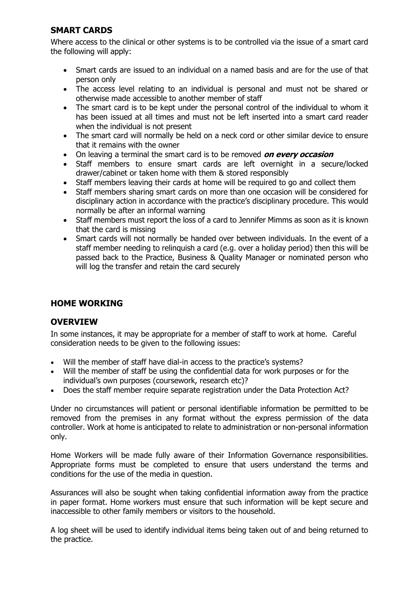#### **SMART CARDS**

Where access to the clinical or other systems is to be controlled via the issue of a smart card the following will apply:

- Smart cards are issued to an individual on a named basis and are for the use of that person only
- The access level relating to an individual is personal and must not be shared or otherwise made accessible to another member of staff
- The smart card is to be kept under the personal control of the individual to whom it has been issued at all times and must not be left inserted into a smart card reader when the individual is not present
- The smart card will normally be held on a neck cord or other similar device to ensure that it remains with the owner
- On leaving a terminal the smart card is to be removed **on every occasion**
- Staff members to ensure smart cards are left overnight in a secure/locked drawer/cabinet or taken home with them & stored responsibly
- Staff members leaving their cards at home will be required to go and collect them
- Staff members sharing smart cards on more than one occasion will be considered for disciplinary action in accordance with the practice's disciplinary procedure. This would normally be after an informal warning
- Staff members must report the loss of a card to Jennifer Mimms as soon as it is known that the card is missing
- Smart cards will not normally be handed over between individuals. In the event of a staff member needing to relinquish a card (e.g. over a holiday period) then this will be passed back to the Practice, Business & Quality Manager or nominated person who will log the transfer and retain the card securely

#### **HOME WORKING**

#### **OVERVIEW**

In some instances, it may be appropriate for a member of staff to work at home. Careful consideration needs to be given to the following issues:

- Will the member of staff have dial-in access to the practice's systems?
- Will the member of staff be using the confidential data for work purposes or for the individual's own purposes (coursework, research etc)?
- Does the staff member require separate registration under the Data Protection Act?

Under no circumstances will patient or personal identifiable information be permitted to be removed from the premises in any format without the express permission of the data controller. Work at home is anticipated to relate to administration or non-personal information only.

Home Workers will be made fully aware of their Information Governance responsibilities. Appropriate forms must be completed to ensure that users understand the terms and conditions for the use of the media in question.

Assurances will also be sought when taking confidential information away from the practice in paper format. Home workers must ensure that such information will be kept secure and inaccessible to other family members or visitors to the household.

A log sheet will be used to identify individual items being taken out of and being returned to the practice.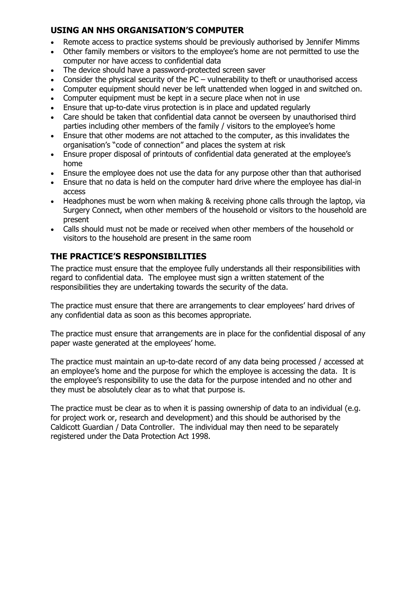#### **USING AN NHS ORGANISATION'S COMPUTER**

- Remote access to practice systems should be previously authorised by Jennifer Mimms
- Other family members or visitors to the employee's home are not permitted to use the computer nor have access to confidential data
- The device should have a password-protected screen saver
- Consider the physical security of the  $PC$  vulnerability to theft or unauthorised access
- Computer equipment should never be left unattended when logged in and switched on.
- Computer equipment must be kept in a secure place when not in use
- Ensure that up-to-date virus protection is in place and updated regularly
- Care should be taken that confidential data cannot be overseen by unauthorised third parties including other members of the family / visitors to the employee's home
- Ensure that other modems are not attached to the computer, as this invalidates the organisation's "code of connection" and places the system at risk
- Ensure proper disposal of printouts of confidential data generated at the employee's home
- Ensure the employee does not use the data for any purpose other than that authorised
- Ensure that no data is held on the computer hard drive where the employee has dial-in access
- Headphones must be worn when making & receiving phone calls through the laptop, via Surgery Connect, when other members of the household or visitors to the household are present
- Calls should must not be made or received when other members of the household or visitors to the household are present in the same room

#### **THE PRACTICE'S RESPONSIBILITIES**

The practice must ensure that the employee fully understands all their responsibilities with regard to confidential data. The employee must sign a written statement of the responsibilities they are undertaking towards the security of the data.

The practice must ensure that there are arrangements to clear employees' hard drives of any confidential data as soon as this becomes appropriate.

The practice must ensure that arrangements are in place for the confidential disposal of any paper waste generated at the employees' home.

The practice must maintain an up-to-date record of any data being processed / accessed at an employee's home and the purpose for which the employee is accessing the data. It is the employee's responsibility to use the data for the purpose intended and no other and they must be absolutely clear as to what that purpose is.

The practice must be clear as to when it is passing ownership of data to an individual (e.g. for project work or, research and development) and this should be authorised by the Caldicott Guardian / Data Controller. The individual may then need to be separately registered under the Data Protection Act 1998.